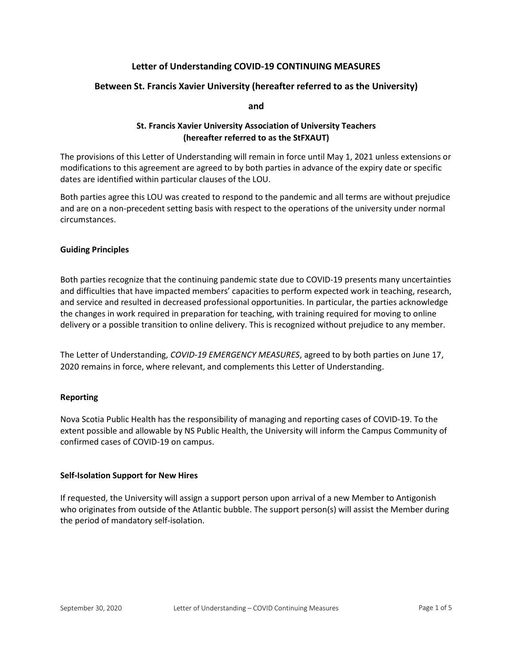# Letter of Understanding COVID-19 CONTINUING MEASURES

# Between St. Francis Xavier University (hereafter referred to as the University)

and

# St. Francis Xavier University Association of University Teachers (hereafter referred to as the StFXAUT)

The provisions of this Letter of Understanding will remain in force until May 1, 2021 unless extensions or modifications to this agreement are agreed to by both parties in advance of the expiry date or specific dates are identified within particular clauses of the LOU.

Both parties agree this LOU was created to respond to the pandemic and all terms are without prejudice and are on a non-precedent setting basis with respect to the operations of the university under normal circumstances.

## Guiding Principles

Both parties recognize that the continuing pandemic state due to COVID-19 presents many uncertainties and difficulties that have impacted members' capacities to perform expected work in teaching, research, and service and resulted in decreased professional opportunities. In particular, the parties acknowledge the changes in work required in preparation for teaching, with training required for moving to online delivery or a possible transition to online delivery. This is recognized without prejudice to any member.

The Letter of Understanding, COVID-19 EMERGENCY MEASURES, agreed to by both parties on June 17, 2020 remains in force, where relevant, and complements this Letter of Understanding.

# Reporting

Nova Scotia Public Health has the responsibility of managing and reporting cases of COVID-19. To the extent possible and allowable by NS Public Health, the University will inform the Campus Community of confirmed cases of COVID-19 on campus.

#### Self-Isolation Support for New Hires

If requested, the University will assign a support person upon arrival of a new Member to Antigonish who originates from outside of the Atlantic bubble. The support person(s) will assist the Member during the period of mandatory self-isolation.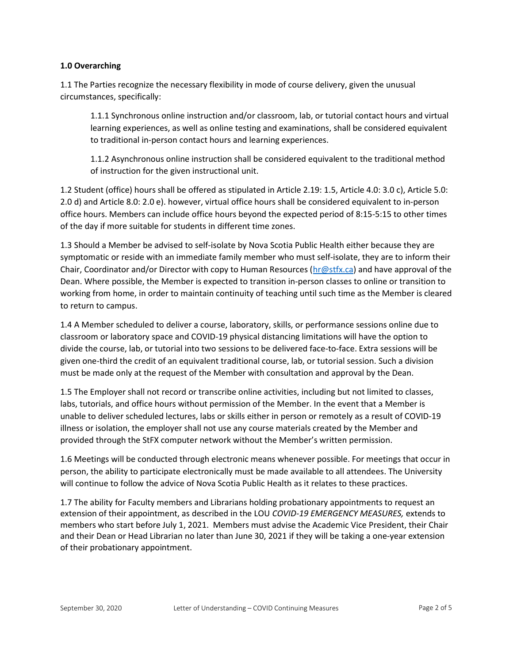## 1.0 Overarching

1.1 The Parties recognize the necessary flexibility in mode of course delivery, given the unusual circumstances, specifically:

1.1.1 Synchronous online instruction and/or classroom, lab, or tutorial contact hours and virtual learning experiences, as well as online testing and examinations, shall be considered equivalent to traditional in-person contact hours and learning experiences.

1.1.2 Asynchronous online instruction shall be considered equivalent to the traditional method of instruction for the given instructional unit.

1.2 Student (office) hours shall be offered as stipulated in Article 2.19: 1.5, Article 4.0: 3.0 c), Article 5.0: 2.0 d) and Article 8.0: 2.0 e). however, virtual office hours shall be considered equivalent to in-person office hours. Members can include office hours beyond the expected period of 8:15-5:15 to other times of the day if more suitable for students in different time zones.

1.3 Should a Member be advised to self-isolate by Nova Scotia Public Health either because they are symptomatic or reside with an immediate family member who must self-isolate, they are to inform their Chair, Coordinator and/or Director with copy to Human Resources (hr@stfx.ca) and have approval of the Dean. Where possible, the Member is expected to transition in-person classes to online or transition to working from home, in order to maintain continuity of teaching until such time as the Member is cleared to return to campus.

1.4 A Member scheduled to deliver a course, laboratory, skills, or performance sessions online due to classroom or laboratory space and COVID-19 physical distancing limitations will have the option to divide the course, lab, or tutorial into two sessions to be delivered face-to-face. Extra sessions will be given one-third the credit of an equivalent traditional course, lab, or tutorial session. Such a division must be made only at the request of the Member with consultation and approval by the Dean.

1.5 The Employer shall not record or transcribe online activities, including but not limited to classes, labs, tutorials, and office hours without permission of the Member. In the event that a Member is unable to deliver scheduled lectures, labs or skills either in person or remotely as a result of COVID-19 illness or isolation, the employer shall not use any course materials created by the Member and provided through the StFX computer network without the Member's written permission.

1.6 Meetings will be conducted through electronic means whenever possible. For meetings that occur in person, the ability to participate electronically must be made available to all attendees. The University will continue to follow the advice of Nova Scotia Public Health as it relates to these practices.

1.7 The ability for Faculty members and Librarians holding probationary appointments to request an extension of their appointment, as described in the LOU COVID-19 EMERGENCY MEASURES, extends to members who start before July 1, 2021. Members must advise the Academic Vice President, their Chair and their Dean or Head Librarian no later than June 30, 2021 if they will be taking a one-year extension of their probationary appointment.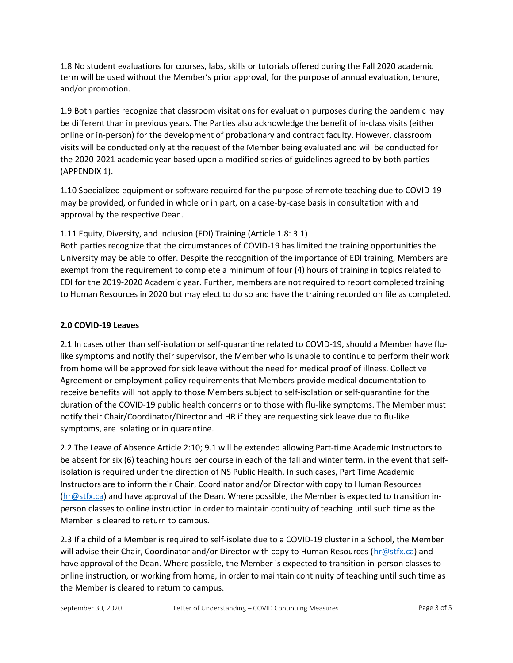1.8 No student evaluations for courses, labs, skills or tutorials offered during the Fall 2020 academic term will be used without the Member's prior approval, for the purpose of annual evaluation, tenure, and/or promotion.

1.9 Both parties recognize that classroom visitations for evaluation purposes during the pandemic may be different than in previous years. The Parties also acknowledge the benefit of in-class visits (either online or in-person) for the development of probationary and contract faculty. However, classroom visits will be conducted only at the request of the Member being evaluated and will be conducted for the 2020-2021 academic year based upon a modified series of guidelines agreed to by both parties (APPENDIX 1).

1.10 Specialized equipment or software required for the purpose of remote teaching due to COVID-19 may be provided, or funded in whole or in part, on a case-by-case basis in consultation with and approval by the respective Dean.

1.11 Equity, Diversity, and Inclusion (EDI) Training (Article 1.8: 3.1)

Both parties recognize that the circumstances of COVID-19 has limited the training opportunities the University may be able to offer. Despite the recognition of the importance of EDI training, Members are exempt from the requirement to complete a minimum of four (4) hours of training in topics related to EDI for the 2019-2020 Academic year. Further, members are not required to report completed training to Human Resources in 2020 but may elect to do so and have the training recorded on file as completed.

# 2.0 COVID-19 Leaves

2.1 In cases other than self-isolation or self-quarantine related to COVID-19, should a Member have flulike symptoms and notify their supervisor, the Member who is unable to continue to perform their work from home will be approved for sick leave without the need for medical proof of illness. Collective Agreement or employment policy requirements that Members provide medical documentation to receive benefits will not apply to those Members subject to self-isolation or self-quarantine for the duration of the COVID-19 public health concerns or to those with flu-like symptoms. The Member must notify their Chair/Coordinator/Director and HR if they are requesting sick leave due to flu-like symptoms, are isolating or in quarantine.

2.2 The Leave of Absence Article 2:10; 9.1 will be extended allowing Part-time Academic Instructors to be absent for six (6) teaching hours per course in each of the fall and winter term, in the event that selfisolation is required under the direction of NS Public Health. In such cases, Part Time Academic Instructors are to inform their Chair, Coordinator and/or Director with copy to Human Resources (hr@stfx.ca) and have approval of the Dean. Where possible, the Member is expected to transition inperson classes to online instruction in order to maintain continuity of teaching until such time as the Member is cleared to return to campus.

2.3 If a child of a Member is required to self-isolate due to a COVID-19 cluster in a School, the Member will advise their Chair, Coordinator and/or Director with copy to Human Resources (hr@stfx.ca) and have approval of the Dean. Where possible, the Member is expected to transition in-person classes to online instruction, or working from home, in order to maintain continuity of teaching until such time as the Member is cleared to return to campus.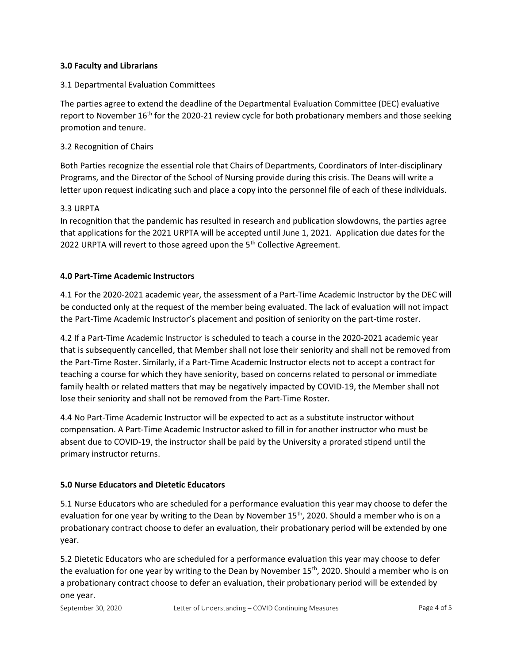# 3.0 Faculty and Librarians

## 3.1 Departmental Evaluation Committees

The parties agree to extend the deadline of the Departmental Evaluation Committee (DEC) evaluative report to November  $16<sup>th</sup>$  for the 2020-21 review cycle for both probationary members and those seeking promotion and tenure.

## 3.2 Recognition of Chairs

Both Parties recognize the essential role that Chairs of Departments, Coordinators of Inter-disciplinary Programs, and the Director of the School of Nursing provide during this crisis. The Deans will write a letter upon request indicating such and place a copy into the personnel file of each of these individuals.

## 3.3 URPTA

In recognition that the pandemic has resulted in research and publication slowdowns, the parties agree that applications for the 2021 URPTA will be accepted until June 1, 2021. Application due dates for the 2022 URPTA will revert to those agreed upon the 5<sup>th</sup> Collective Agreement.

## 4.0 Part-Time Academic Instructors

4.1 For the 2020-2021 academic year, the assessment of a Part-Time Academic Instructor by the DEC will be conducted only at the request of the member being evaluated. The lack of evaluation will not impact the Part-Time Academic Instructor's placement and position of seniority on the part-time roster.

4.2 If a Part-Time Academic Instructor is scheduled to teach a course in the 2020-2021 academic year that is subsequently cancelled, that Member shall not lose their seniority and shall not be removed from the Part-Time Roster. Similarly, if a Part-Time Academic Instructor elects not to accept a contract for teaching a course for which they have seniority, based on concerns related to personal or immediate family health or related matters that may be negatively impacted by COVID-19, the Member shall not lose their seniority and shall not be removed from the Part-Time Roster.

4.4 No Part-Time Academic Instructor will be expected to act as a substitute instructor without compensation. A Part-Time Academic Instructor asked to fill in for another instructor who must be absent due to COVID-19, the instructor shall be paid by the University a prorated stipend until the primary instructor returns.

#### 5.0 Nurse Educators and Dietetic Educators

5.1 Nurse Educators who are scheduled for a performance evaluation this year may choose to defer the evaluation for one year by writing to the Dean by November 15<sup>th</sup>, 2020. Should a member who is on a probationary contract choose to defer an evaluation, their probationary period will be extended by one year.

5.2 Dietetic Educators who are scheduled for a performance evaluation this year may choose to defer the evaluation for one year by writing to the Dean by November 15<sup>th</sup>, 2020. Should a member who is on a probationary contract choose to defer an evaluation, their probationary period will be extended by one year.